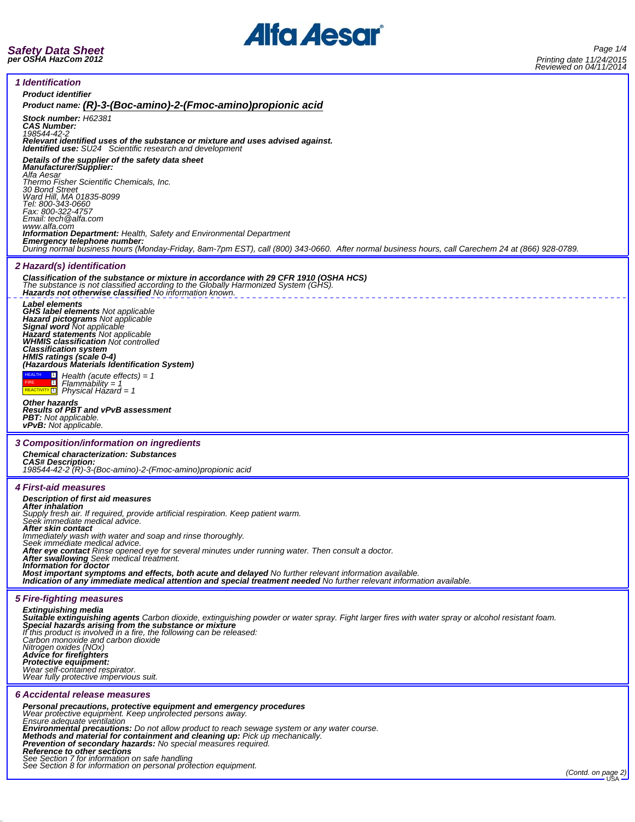

*Safety Data Sheet per OSHA HazCom 2012*

╞

╞

| 1 Identification                                                                                                                                                                                                                                              |                    |
|---------------------------------------------------------------------------------------------------------------------------------------------------------------------------------------------------------------------------------------------------------------|--------------------|
| <b>Product identifier</b>                                                                                                                                                                                                                                     |                    |
| Product name: (R)-3-(Boc-amino)-2-(Fmoc-amino)propionic acid                                                                                                                                                                                                  |                    |
| <b>Stock number:</b> H62381<br><b>CAS Number:</b><br>198544-42-2<br>Relevant identified uses of the substance or mixture and uses advised against.<br><b>Identified use:</b> SU24 Scientific research and development                                         |                    |
| Details of the supplier of the safety data sheet<br><b>Manufacturer/Supplier:</b><br>Alfa Aesar                                                                                                                                                               |                    |
| Thermo Fisher Scientific Chemicals, Inc.<br>30 Bond Street<br>Ward Hill. MA 01835-8099<br>Tel: 800-343-0660                                                                                                                                                   |                    |
| Fax: 800-322-4757<br>Email: tech @alfa.com<br>www.alfa.com                                                                                                                                                                                                    |                    |
| <b>Information Department:</b> Health, Safety and Environmental Department<br>Emergency telephone number:<br>During normal business hours (Monday-Friday, 8am-7pm EST), call (800) 343-0660. After normal business hours, call Carechem 24 at (866) 928-0789. |                    |
| 2 Hazard(s) identification                                                                                                                                                                                                                                    |                    |
| Classification of the substance or mixture in accordance with 29 CFR 1910 (OSHA HCS)<br>The substance is not classified according to the Globally Harmonized System (GHS).<br>Hazards not otherwise classified No information known.                          |                    |
| Label elements<br><b>GHS label elements</b> Not applicable<br>Hazard pictograms Not applicable<br>Signal word Not applicable<br>Hazard statements Not applicable                                                                                              |                    |
| <b>WHMIS classification Not controlled</b><br><b>Classification system</b>                                                                                                                                                                                    |                    |
| HMIS ratings (scale 0-4)<br>(Hazardous Materials Identification System)                                                                                                                                                                                       |                    |
| $\Box$ Health (acute effects) = 1<br>$Flammablity = 1$<br>REACTIVITY 1 Physical Hazard = 1                                                                                                                                                                    |                    |
| <b>Other hazards</b>                                                                                                                                                                                                                                          |                    |
| Results of PBT and vPvB assessment<br><b>PBT:</b> Not applicable.                                                                                                                                                                                             |                    |
| <b>vPvB:</b> Not applicable.                                                                                                                                                                                                                                  |                    |
| 3 Composition/information on ingredients                                                                                                                                                                                                                      |                    |
| <b>Chemical characterization: Substances</b>                                                                                                                                                                                                                  |                    |
| <b>CAS# Description:</b><br>198544-42-2 (R)-3-(Boc-amino)-2-(Fmoc-amino)propionic acid                                                                                                                                                                        |                    |
|                                                                                                                                                                                                                                                               |                    |
| 4 First-aid measures                                                                                                                                                                                                                                          |                    |
| <b>Description of first aid measures</b>                                                                                                                                                                                                                      |                    |
| <b>After inhalation</b><br>Supply fresh air. If required, provide artificial respiration. Keep patient warm.                                                                                                                                                  |                    |
| Seek immediate medical advice.                                                                                                                                                                                                                                |                    |
| After skin contact<br>Immediately wash with water and soap and rinse thoroughly.                                                                                                                                                                              |                    |
| Seek immediate medical advice.                                                                                                                                                                                                                                |                    |
| After eye contact Rinse opened eye for several minutes under running water. Then consult a doctor.<br>After swallowing Seek medical treatment.                                                                                                                |                    |
| Information for doctor                                                                                                                                                                                                                                        |                    |
| Most important symptoms and effects, both acute and delayed No further relevant information available.<br>Indication of any immediate medical attention and special treatment needed No further relevant information available.                               |                    |
| <b>5 Fire-fighting measures</b>                                                                                                                                                                                                                               |                    |
| <b>Extinguishing media</b>                                                                                                                                                                                                                                    |                    |
| Suitable extinguishing agents Carbon dioxide, extinguishing powder or water spray. Fight larger fires with water spray or alcohol resistant foam.                                                                                                             |                    |
| Special hazards arising from the substance or mixture<br>If this product is involved in a fire, the following can be released:                                                                                                                                |                    |
| Carbon monoxide and carbon dioxide                                                                                                                                                                                                                            |                    |
| Nitrogen oxides (NOx)<br><b>Advice for firefighters</b>                                                                                                                                                                                                       |                    |
| Protective equipment:<br>Wear self-contained respirator.                                                                                                                                                                                                      |                    |
| Wear fully protective impervious suit.                                                                                                                                                                                                                        |                    |
| 6 Accidental release measures                                                                                                                                                                                                                                 |                    |
| Personal precautions, protective equipment and emergency procedures                                                                                                                                                                                           |                    |
| Wear protective equipment. Keep unprotected persons away.<br>Ensure adequate ventilation                                                                                                                                                                      |                    |
| Environmental precautions: Do not allow product to reach sewage system or any water course.                                                                                                                                                                   |                    |
| Methods and material for containment and cleaning up: Pick up mechanically.                                                                                                                                                                                   |                    |
| Prevention of secondary hazards: No special measures required.<br>Reference to other sections<br>See Section 7 for information on safe handling                                                                                                               |                    |
| See Section 8 for information on personal protection equipment.                                                                                                                                                                                               | (Contd. on page 2) |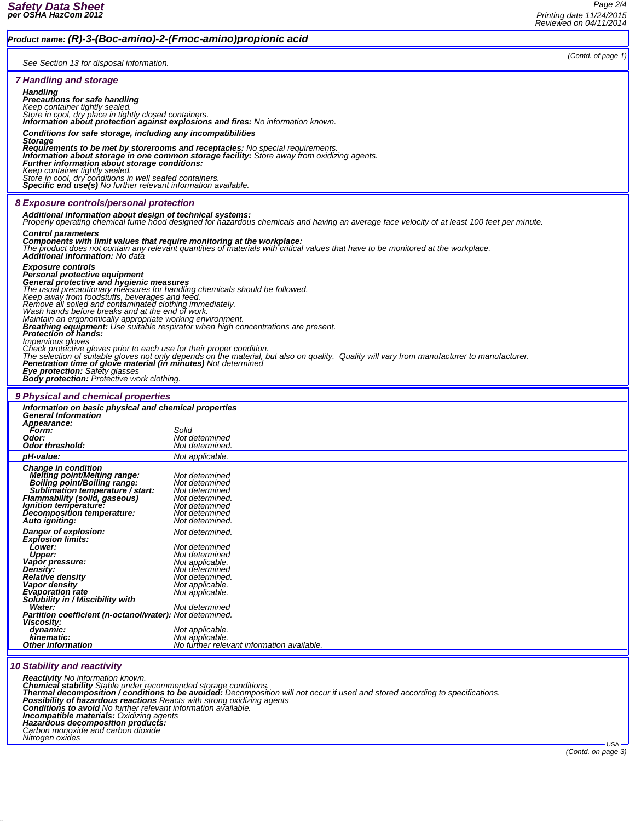## *Product name: (R)-3-(Boc-amino)-2-(Fmoc-amino)propionic acid*

*(Contd. of page 1)*

*See Section 13 for disposal information.*

| <b>7 Handling and storage</b><br><b>Handling</b>                                                                                                                          |                                                                                                                                                                                      |
|---------------------------------------------------------------------------------------------------------------------------------------------------------------------------|--------------------------------------------------------------------------------------------------------------------------------------------------------------------------------------|
| <b>Precautions for safe handling</b><br>Keep container tightly sealed.                                                                                                    |                                                                                                                                                                                      |
| Store in cool, dry place in tightly closed containers.                                                                                                                    | <b>Information about protection against explosions and fires:</b> No information known.                                                                                              |
| Conditions for safe storage, including any incompatibilities<br><b>Storage</b>                                                                                            |                                                                                                                                                                                      |
|                                                                                                                                                                           | Requirements to be met by storerooms and receptacles: No special requirements.<br><b>Information about storage in one common storage facility:</b> Store away from oxidizing agents. |
| Further information about storage conditions:                                                                                                                             |                                                                                                                                                                                      |
| Neep container tightly sealed.<br>Store in cool, dry conditions in well sealed containers.<br>Specific end use(s) No further relevant information available.              |                                                                                                                                                                                      |
| 8 Exposure controls/personal protection                                                                                                                                   |                                                                                                                                                                                      |
| Additional information about design of technical systems:                                                                                                                 | Properly operating chemical fume hood designed for hazardous chemicals and having an average face velocity of at least 100 feet per minute.                                          |
| <b>Control parameters</b><br>Components with limit values that require monitoring at the workplace:                                                                       |                                                                                                                                                                                      |
| <b>Additional information:</b> No data                                                                                                                                    | The product does not contain any relevant quantities of materials with critical values that have to be monitored at the workplace.                                                   |
| <b>Exposure controls</b><br>Personal protective equipment                                                                                                                 |                                                                                                                                                                                      |
| General protective and hygienic measures<br>The usual precautionary measures for handling chemicals should be followed.<br>Keep away from foodsfuffs, beverages and feed. |                                                                                                                                                                                      |
| Remove all soiled and contaminated clothing immediately.<br>Wash hands before breaks and at the end of work.                                                              |                                                                                                                                                                                      |
| Maintain an ergonomically appropriate working environment.                                                                                                                | Breathing equipment: Use suitable respirator when high concentrations are present.                                                                                                   |
| Protection of hands:<br>Impervious gloves<br>Check protective gloves prior to each use for their proper condition.                                                        |                                                                                                                                                                                      |
|                                                                                                                                                                           | The selection of suitable gloves not only depends on the material, but also on quality. Quality will vary from manufacturer to manufacturer.                                         |
| Penetration time of glove material (in minutes) Not determined<br>Eye protection: Safety glasses<br><b>Body protection:</b> Protective work clothing.                     |                                                                                                                                                                                      |
| 9 Physical and chemical properties                                                                                                                                        |                                                                                                                                                                                      |
| Information on basic physical and chemical properties<br><b>General Information</b>                                                                                       |                                                                                                                                                                                      |
| Appearance:<br><b>Form:</b>                                                                                                                                               | Solid                                                                                                                                                                                |
| Odor:<br>Odor threshold:                                                                                                                                                  | Not determined<br>Not determined.                                                                                                                                                    |
| pH-value:                                                                                                                                                                 | Not applicable.                                                                                                                                                                      |
| <b>Change in condition</b><br><b>Melting point/Melting range:</b>                                                                                                         | Not determined                                                                                                                                                                       |
| Boiling point/Boiling range:<br>Sublimation temperature / start:                                                                                                          | Not determined<br>Not determined                                                                                                                                                     |
| Flammability (solid, gaseous)                                                                                                                                             | Not determined.                                                                                                                                                                      |
| Ignition temperature:                                                                                                                                                     | Not determined                                                                                                                                                                       |
| Decomposition temperature:<br>Auto igniting:                                                                                                                              | Not determined<br>Not determined.                                                                                                                                                    |
| Danger of explosion:<br><b>Explosion limits:</b>                                                                                                                          | Not determined.                                                                                                                                                                      |
| Lower:<br><b>Upper:</b>                                                                                                                                                   | Not determined<br>Not determined                                                                                                                                                     |
| Vapor pressure:                                                                                                                                                           | Not applicable.<br>Not determined                                                                                                                                                    |
| Density:<br>Relative density                                                                                                                                              | Not determined.                                                                                                                                                                      |
| <b>Vapor density</b>                                                                                                                                                      | Not applicable.                                                                                                                                                                      |
| <b>Evaporation rate</b><br>Solubility in / Miscibility with                                                                                                               | Not applicable.                                                                                                                                                                      |
| Water:                                                                                                                                                                    | Not determined                                                                                                                                                                       |
| Partition coefficient (n-octanol/water): Not determined.<br><b>Viscosity:</b>                                                                                             |                                                                                                                                                                                      |
| dynamic:                                                                                                                                                                  | Not applicable.                                                                                                                                                                      |
| kinematic:<br><b>Other information</b>                                                                                                                                    | Not applicable.<br>No further relevant information available.                                                                                                                        |
|                                                                                                                                                                           |                                                                                                                                                                                      |
| <b>10 Stability and reactivity</b>                                                                                                                                        |                                                                                                                                                                                      |
| Reactivity No information known.                                                                                                                                          |                                                                                                                                                                                      |

Reactivity No information known.<br>Chemical stability Stable under recommended storage conditions.<br>Thermal decomposition / conditions to be avoided: Decomposition will not occur if used and stored according to specifications *Incompatible materials: Oxidizing agents***<br>Hazardous decomposition products:<br>Carbon monoxide and carbon dioxide<br>Nitrogen oxides**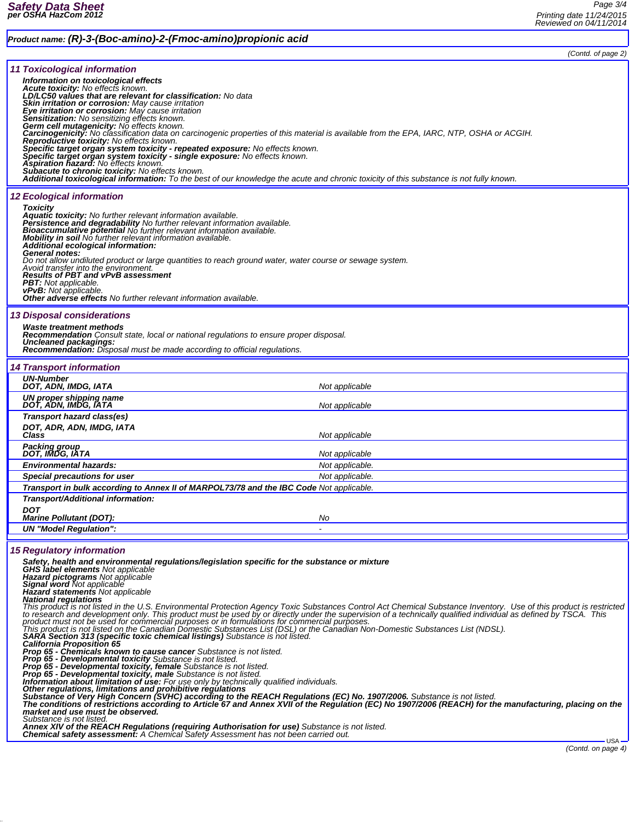## *Product name: (R)-3-(Boc-amino)-2-(Fmoc-amino)propionic acid*

| (Contd. of page 2)                                                                                                                                                                                                                |
|-----------------------------------------------------------------------------------------------------------------------------------------------------------------------------------------------------------------------------------|
| <b>11 Toxicological information</b>                                                                                                                                                                                               |
| Information on toxicological effects                                                                                                                                                                                              |
| <b>Acute toxicity:</b> No effects known.                                                                                                                                                                                          |
| LD/LC50 values that are relevant for classification: No data                                                                                                                                                                      |
| Skin irritation or corrosion: May cause irritation<br>Eye irritation or corrosion: May cause irritation                                                                                                                           |
| Sensitization: No sensitizing effects known.                                                                                                                                                                                      |
| Germ cell mutagenicity: No effects known.<br><b>Carcinogenicity:</b> No classification data on carcinogenic properties of this material is available from the EPA, IARC, NTP, OSHA or ACGIH.                                      |
| <b>Reproductive toxicity:</b> No effects known.                                                                                                                                                                                   |
| Specific target organ system toxicity - repeated exposure: No effects known.<br>Specific target organ system toxicity - single exposure: No effects known.                                                                        |
| Aspiration hazard: No effects known.                                                                                                                                                                                              |
| Subacute to chronic toxicity: No effects known.                                                                                                                                                                                   |
| Additional toxicological information: To the best of our knowledge the acute and chronic toxicity of this substance is not fully known.                                                                                           |
| <b>12 Ecological information</b>                                                                                                                                                                                                  |
| <b>Toxicity</b>                                                                                                                                                                                                                   |
| Aquatic toxicity: No further relevant information available.                                                                                                                                                                      |
| Persistence and degradability No further relevant information available.<br>Bioaccumulative potential No further relevant information available.                                                                                  |
| Mobility in soil No further relevant information available.                                                                                                                                                                       |
| Additional ecological information:<br><b>General notes:</b>                                                                                                                                                                       |
| Do not allow undiluted product or large quantities to reach ground water, water course or sewage system.                                                                                                                          |
| Avoid transfer into the environment.                                                                                                                                                                                              |
| <b>Results of PBT and vPvB assessment</b><br><b>PBT:</b> Not applicable.                                                                                                                                                          |
| <b>vPvB:</b> Not applicable.                                                                                                                                                                                                      |
| Other adverse effects No further relevant information available.                                                                                                                                                                  |
| <b>13 Disposal considerations</b>                                                                                                                                                                                                 |
| Waste treatment methods                                                                                                                                                                                                           |
| <b>Recommendation</b> Consult state, local or national regulations to ensure proper disposal.                                                                                                                                     |
| Uncleaned packagings:<br><b>Recommendation:</b> Disposal must be made according to official regulations.                                                                                                                          |
|                                                                                                                                                                                                                                   |
| <b>14 Transport information</b>                                                                                                                                                                                                   |
| <b>UN-Number</b><br>Not applicable<br>DOT, ADN, IMDG, IATA                                                                                                                                                                        |
| UN proper shipping name                                                                                                                                                                                                           |
| DOT, ADN, IMDG, IATA<br>Not applicable                                                                                                                                                                                            |
| Transport hazard class(es)                                                                                                                                                                                                        |
| DOT, ADR, ADN, IMDG, IATA                                                                                                                                                                                                         |
| Not applicable<br>Class                                                                                                                                                                                                           |
| Packing group<br>DOT, IMDG, IATA<br>Not applicable                                                                                                                                                                                |
| <b>Environmental hazards:</b><br>Not applicable.                                                                                                                                                                                  |
| Special precautions for user<br>Not applicable.                                                                                                                                                                                   |
| Transport in bulk according to Annex II of MARPOL73/78 and the IBC Code Not applicable.                                                                                                                                           |
| Transport/Additional information:                                                                                                                                                                                                 |
| DOT                                                                                                                                                                                                                               |
| Marine Pollutant (DOT):<br>No                                                                                                                                                                                                     |
| <b>UN "Model Regulation":</b>                                                                                                                                                                                                     |
|                                                                                                                                                                                                                                   |
| <b>15 Regulatory information</b>                                                                                                                                                                                                  |
| Safety, health and environmental regulations/legislation specific for the substance or mixture<br><b>GHS label elements</b> Not applicable                                                                                        |
| <b>Hazard pictograms</b> Not applicable                                                                                                                                                                                           |
| Signal word Not applicable<br>Hazard statements Not applicable                                                                                                                                                                    |
| <b>National regulations</b>                                                                                                                                                                                                       |
| This product is not listed in the U.S. Environmental Protection Agency Toxic Substances Control Act Chemical Substance Inventory. Use of this product is restricted<br>to research and development only. This product must be use |
| product must not be used for commercial purposes or in formulations for commercial purposes.                                                                                                                                      |
| This product is not listed on the Canadian Domestic Substances List (DSL) or the Canadian Non-Domestic Substances List (NDSL).                                                                                                    |
| <b>SARA Section 313 (specific toxic chemical listings)</b> Substance is not listed.<br>California Proposition 65                                                                                                                  |
| Prop 65 - Chemicals known to cause cancer Substance is not listed.                                                                                                                                                                |
| Prop 65 - Developmental toxicity Substance is not listed.<br>Prop 65 - Developmental toxicity, female Substance is not listed.                                                                                                    |
| Prop 65 - Developmental toxicity, male Substance is not listed.                                                                                                                                                                   |
| Information about limitation of use: For use only by technically qualified individuals.                                                                                                                                           |
| Other regulations, limitations and prohibitive regulations<br>Substance of Very High Concern (SVHC) according to the REACH Regulations (EC) No. 1907/2006. Substance is not listed.                                               |
| The conditions of restrictions according to Article 67 and Annex XVII of the Regulation (EC) No 1907/2006 (REACH) for the manufacturing, placing on the                                                                           |
| market and use must be observed.<br>Substance is not listed.                                                                                                                                                                      |
| Annex XIV of the REACH Regulations (requiring Authorisation for use) Substance is not listed.                                                                                                                                     |
| <b>Chemical safety assessment:</b> A Chemical Safety Assessment has not been carried out.<br><b>USA</b>                                                                                                                           |

*(Contd. on page 4)*